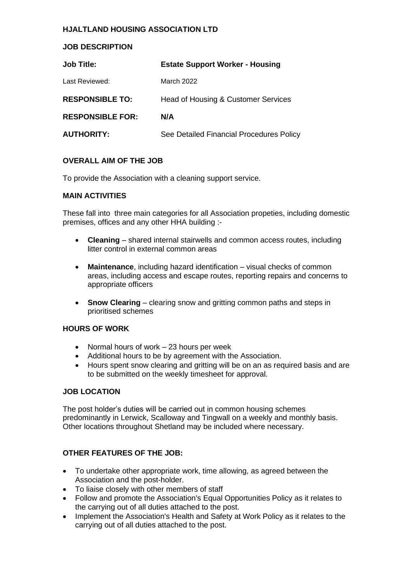### **JOB DESCRIPTION**

| <b>Job Title:</b>       | <b>Estate Support Worker - Housing</b>   |
|-------------------------|------------------------------------------|
| Last Reviewed:          | March 2022                               |
| <b>RESPONSIBLE TO:</b>  | Head of Housing & Customer Services      |
| <b>RESPONSIBLE FOR:</b> | N/A                                      |
| <b>AUTHORITY:</b>       | See Detailed Financial Procedures Policy |
|                         |                                          |

### **OVERALL AIM OF THE JOB**

To provide the Association with a cleaning support service.

# **MAIN ACTIVITIES**

These fall into three main categories for all Association propeties, including domestic premises, offices and any other HHA building :-

- **Cleaning** shared internal stairwells and common access routes, including litter control in external common areas
- **Maintenance**, including hazard identification visual checks of common areas, including access and escape routes, reporting repairs and concerns to appropriate officers
- **Snow Clearing** clearing snow and gritting common paths and steps in prioritised schemes

### **HOURS OF WORK**

- Normal hours of work 23 hours per week
- Additional hours to be by agreement with the Association.
- Hours spent snow clearing and gritting will be on an as required basis and are to be submitted on the weekly timesheet for approval.

### **JOB LOCATION**

The post holder's duties will be carried out in common housing schemes predominantly in Lerwick, Scalloway and Tingwall on a weekly and monthly basis. Other locations throughout Shetland may be included where necessary.

# **OTHER FEATURES OF THE JOB:**

- To undertake other appropriate work, time allowing, as agreed between the Association and the post-holder.
- To liaise closely with other members of staff
- Follow and promote the Association's Equal Opportunities Policy as it relates to the carrying out of all duties attached to the post.
- Implement the Association's Health and Safety at Work Policy as it relates to the carrying out of all duties attached to the post.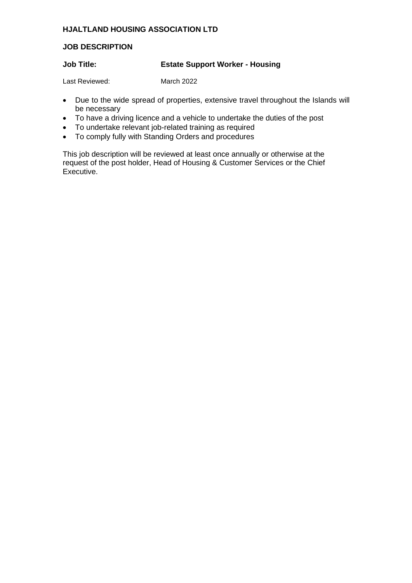### **JOB DESCRIPTION**

### **Job Title: Estate Support Worker - Housing**

Last Reviewed: March 2022

- Due to the wide spread of properties, extensive travel throughout the Islands will be necessary
- To have a driving licence and a vehicle to undertake the duties of the post
- To undertake relevant job-related training as required
- To comply fully with Standing Orders and procedures

This job description will be reviewed at least once annually or otherwise at the request of the post holder, Head of Housing & Customer Services or the Chief Executive.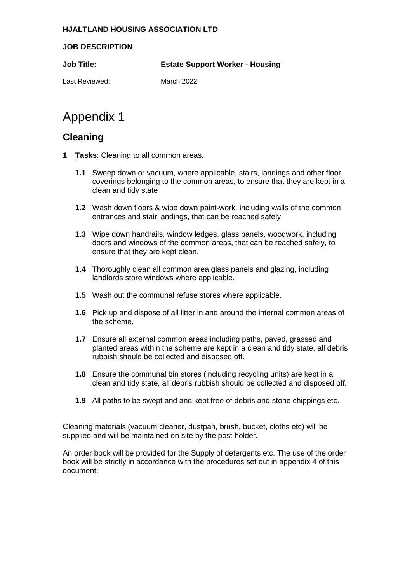#### **JOB DESCRIPTION**

**Job Title: Estate Support Worker - Housing**

Last Reviewed: March 2022

# Appendix 1

# **Cleaning**

- **1 Tasks**: Cleaning to all common areas.
	- **1.1** Sweep down or vacuum, where applicable, stairs, landings and other floor coverings belonging to the common areas, to ensure that they are kept in a clean and tidy state
	- **1.2** Wash down floors & wipe down paint-work, including walls of the common entrances and stair landings, that can be reached safely
	- **1.3** Wipe down handrails, window ledges, glass panels, woodwork, including doors and windows of the common areas, that can be reached safely, to ensure that they are kept clean.
	- **1.4** Thoroughly clean all common area glass panels and glazing, including landlords store windows where applicable.
	- **1.5** Wash out the communal refuse stores where applicable.
	- **1.6** Pick up and dispose of all litter in and around the internal common areas of the scheme.
	- **1.7** Ensure all external common areas including paths, paved, grassed and planted areas within the scheme are kept in a clean and tidy state, all debris rubbish should be collected and disposed off.
	- **1.8** Ensure the communal bin stores (including recycling units) are kept in a clean and tidy state, all debris rubbish should be collected and disposed off.
	- **1.9** All paths to be swept and and kept free of debris and stone chippings etc.

Cleaning materials (vacuum cleaner, dustpan, brush, bucket, cloths etc) will be supplied and will be maintained on site by the post holder.

An order book will be provided for the Supply of detergents etc. The use of the order book will be strictly in accordance with the procedures set out in appendix 4 of this document: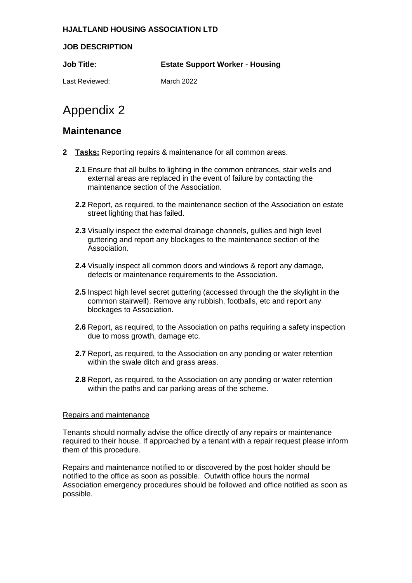**JOB DESCRIPTION**

**Job Title: Estate Support Worker - Housing**

Last Reviewed: March 2022

# Appendix 2

# **Maintenance**

- **2 Tasks:** Reporting repairs & maintenance for all common areas.
	- **2.1** Ensure that all bulbs to lighting in the common entrances, stair wells and external areas are replaced in the event of failure by contacting the maintenance section of the Association.
	- **2.2** Report, as required, to the maintenance section of the Association on estate street lighting that has failed.
	- **2.3** Visually inspect the external drainage channels, gullies and high level guttering and report any blockages to the maintenance section of the Association.
	- **2.4** Visually inspect all common doors and windows & report any damage, defects or maintenance requirements to the Association.
	- **2.5** Inspect high level secret guttering (accessed through the the skylight in the common stairwell). Remove any rubbish, footballs, etc and report any blockages to Association.
	- **2.6** Report, as required, to the Association on paths requiring a safety inspection due to moss growth, damage etc.
	- **2.7** Report, as required, to the Association on any ponding or water retention within the swale ditch and grass areas.
	- **2.8** Report, as required, to the Association on any ponding or water retention within the paths and car parking areas of the scheme.

### Repairs and maintenance

Tenants should normally advise the office directly of any repairs or maintenance required to their house. If approached by a tenant with a repair request please inform them of this procedure.

Repairs and maintenance notified to or discovered by the post holder should be notified to the office as soon as possible. Outwith office hours the normal Association emergency procedures should be followed and office notified as soon as possible.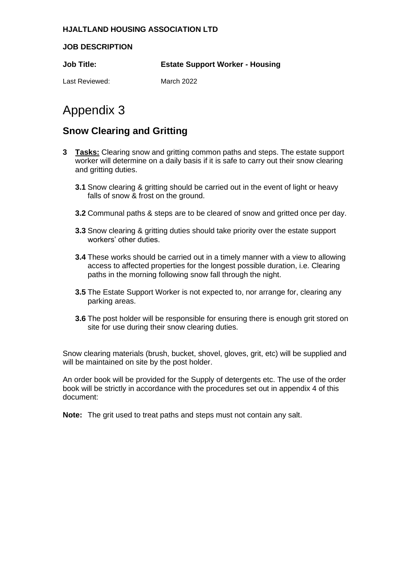#### **JOB DESCRIPTION**

**Job Title: Estate Support Worker - Housing**

Last Reviewed: March 2022

# Appendix 3

# **Snow Clearing and Gritting**

- **3 Tasks:** Clearing snow and gritting common paths and steps. The estate support worker will determine on a daily basis if it is safe to carry out their snow clearing and gritting duties.
	- **3.1** Snow clearing & gritting should be carried out in the event of light or heavy falls of snow & frost on the ground.
	- **3.2** Communal paths & steps are to be cleared of snow and gritted once per day.
	- **3.3** Snow clearing & gritting duties should take priority over the estate support workers' other duties.
	- **3.4** These works should be carried out in a timely manner with a view to allowing access to affected properties for the longest possible duration, i.e. Clearing paths in the morning following snow fall through the night.
	- **3.5** The Estate Support Worker is not expected to, nor arrange for, clearing any parking areas.
	- **3.6** The post holder will be responsible for ensuring there is enough grit stored on site for use during their snow clearing duties.

Snow clearing materials (brush, bucket, shovel, gloves, grit, etc) will be supplied and will be maintained on site by the post holder.

An order book will be provided for the Supply of detergents etc. The use of the order book will be strictly in accordance with the procedures set out in appendix 4 of this document:

**Note:** The grit used to treat paths and steps must not contain any salt.